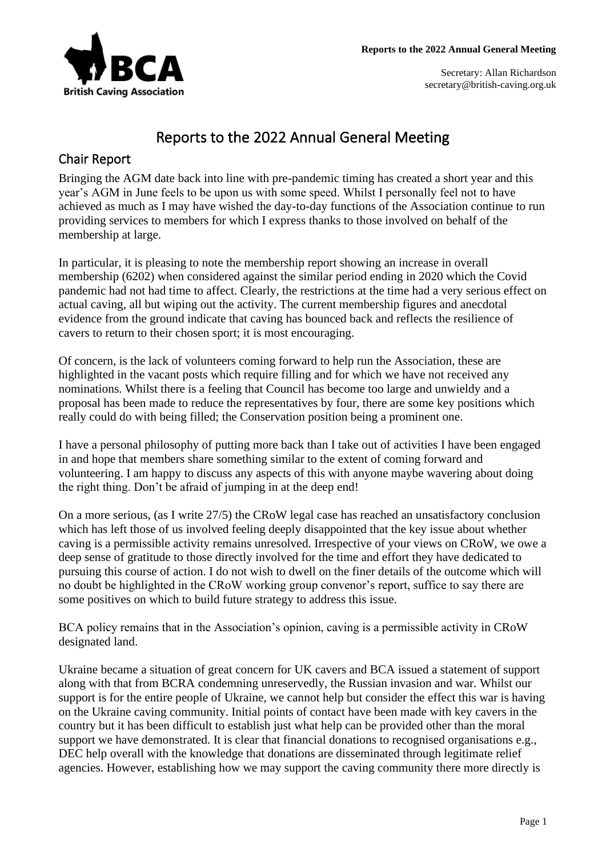

# Reports to the 2022 Annual General Meeting

## Chair Report

Bringing the AGM date back into line with pre-pandemic timing has created a short year and this year's AGM in June feels to be upon us with some speed. Whilst I personally feel not to have achieved as much as I may have wished the day-to-day functions of the Association continue to run providing services to members for which I express thanks to those involved on behalf of the membership at large.

In particular, it is pleasing to note the membership report showing an increase in overall membership (6202) when considered against the similar period ending in 2020 which the Covid pandemic had not had time to affect. Clearly, the restrictions at the time had a very serious effect on actual caving, all but wiping out the activity. The current membership figures and anecdotal evidence from the ground indicate that caving has bounced back and reflects the resilience of cavers to return to their chosen sport; it is most encouraging.

Of concern, is the lack of volunteers coming forward to help run the Association, these are highlighted in the vacant posts which require filling and for which we have not received any nominations. Whilst there is a feeling that Council has become too large and unwieldy and a proposal has been made to reduce the representatives by four, there are some key positions which really could do with being filled; the Conservation position being a prominent one.

I have a personal philosophy of putting more back than I take out of activities I have been engaged in and hope that members share something similar to the extent of coming forward and volunteering. I am happy to discuss any aspects of this with anyone maybe wavering about doing the right thing. Don't be afraid of jumping in at the deep end!

On a more serious, (as I write 27/5) the CRoW legal case has reached an unsatisfactory conclusion which has left those of us involved feeling deeply disappointed that the key issue about whether caving is a permissible activity remains unresolved. Irrespective of your views on CRoW, we owe a deep sense of gratitude to those directly involved for the time and effort they have dedicated to pursuing this course of action. I do not wish to dwell on the finer details of the outcome which will no doubt be highlighted in the CRoW working group convenor's report, suffice to say there are some positives on which to build future strategy to address this issue.

BCA policy remains that in the Association's opinion, caving is a permissible activity in CRoW designated land.

Ukraine became a situation of great concern for UK cavers and BCA issued a statement of support along with that from BCRA condemning unreservedly, the Russian invasion and war. Whilst our support is for the entire people of Ukraine, we cannot help but consider the effect this war is having on the Ukraine caving community. Initial points of contact have been made with key cavers in the country but it has been difficult to establish just what help can be provided other than the moral support we have demonstrated. It is clear that financial donations to recognised organisations e.g., DEC help overall with the knowledge that donations are disseminated through legitimate relief agencies. However, establishing how we may support the caving community there more directly is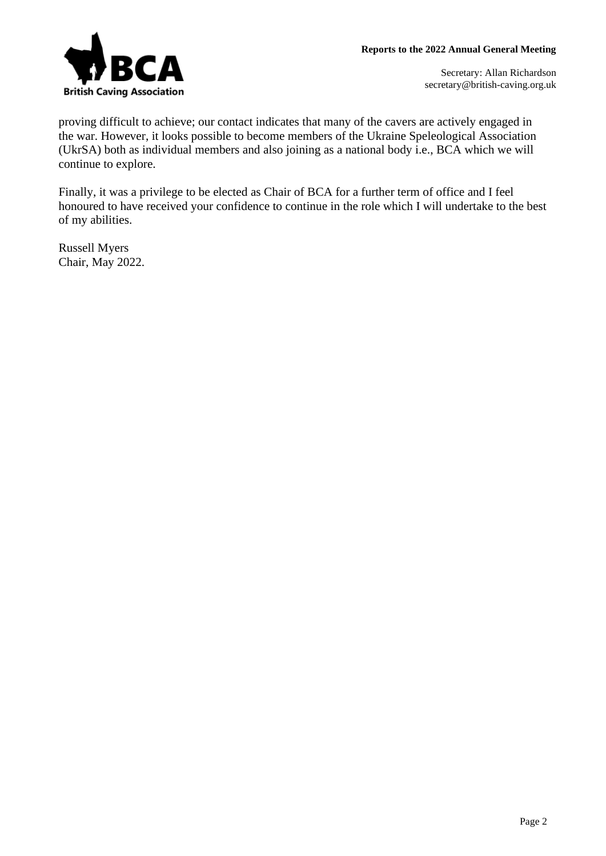

proving difficult to achieve; our contact indicates that many of the cavers are actively engaged in the war. However, it looks possible to become members of the Ukraine Speleological Association (UkrSA) both as individual members and also joining as a national body i.e., BCA which we will continue to explore.

Finally, it was a privilege to be elected as Chair of BCA for a further term of office and I feel honoured to have received your confidence to continue in the role which I will undertake to the best of my abilities.

Russell Myers Chair, May 2022.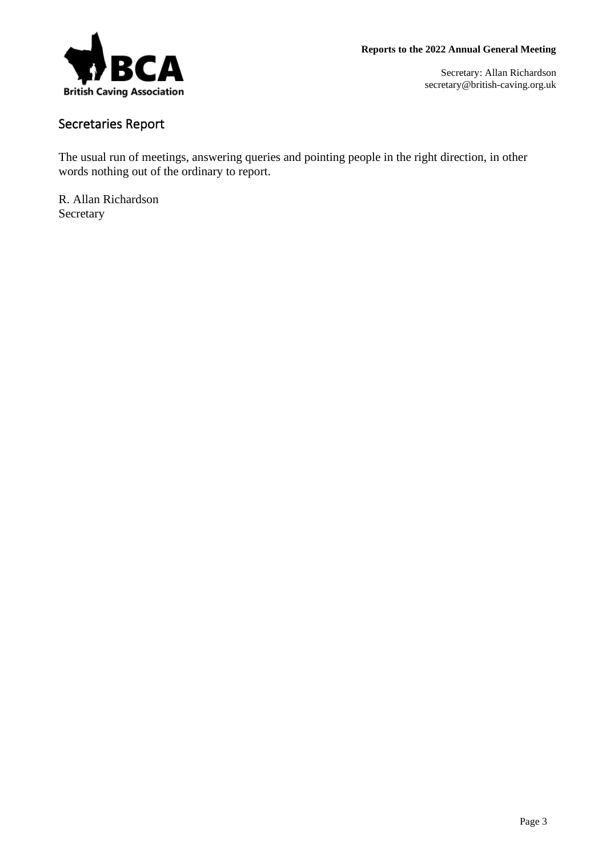

## Secretaries Report

The usual run of meetings, answering queries and pointing people in the right direction, in other words nothing out of the ordinary to report.

R. Allan Richardson Secretary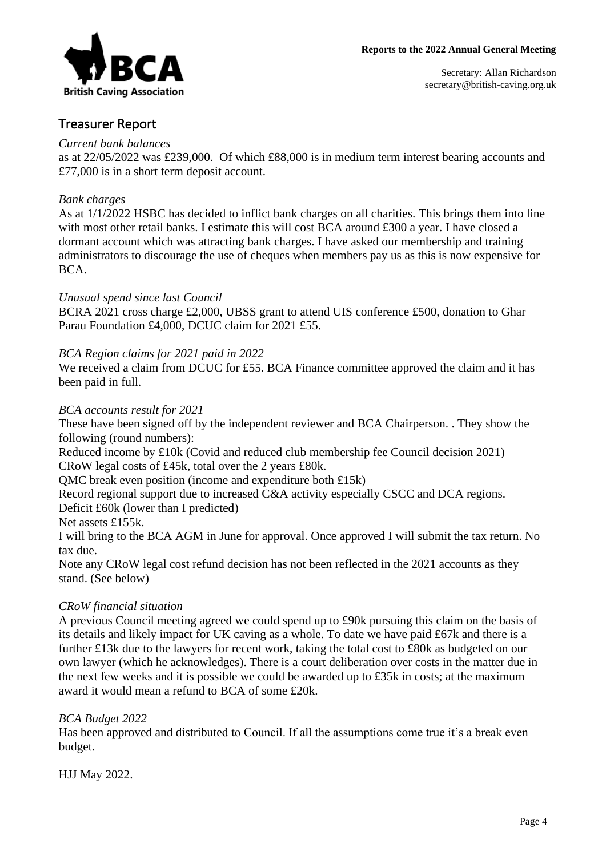

### Treasurer Report

#### *Current bank balances*

as at 22/05/2022 was £239,000. Of which £88,000 is in medium term interest bearing accounts and £77,000 is in a short term deposit account.

### *Bank charges*

As at 1/1/2022 HSBC has decided to inflict bank charges on all charities. This brings them into line with most other retail banks. I estimate this will cost BCA around £300 a year. I have closed a dormant account which was attracting bank charges. I have asked our membership and training administrators to discourage the use of cheques when members pay us as this is now expensive for BCA.

### *Unusual spend since last Council*

BCRA 2021 cross charge £2,000, UBSS grant to attend UIS conference £500, donation to Ghar Parau Foundation £4,000, DCUC claim for 2021 £55.

### *BCA Region claims for 2021 paid in 2022*

We received a claim from DCUC for £55. BCA Finance committee approved the claim and it has been paid in full.

### *BCA accounts result for 2021*

These have been signed off by the independent reviewer and BCA Chairperson. . They show the following (round numbers):

Reduced income by £10k (Covid and reduced club membership fee Council decision 2021) CRoW legal costs of £45k, total over the 2 years £80k.

QMC break even position (income and expenditure both £15k)

Record regional support due to increased C&A activity especially CSCC and DCA regions. Deficit £60k (lower than I predicted)

Net assets £155k.

I will bring to the BCA AGM in June for approval. Once approved I will submit the tax return. No tax due.

Note any CRoW legal cost refund decision has not been reflected in the 2021 accounts as they stand. (See below)

### *CRoW financial situation*

A previous Council meeting agreed we could spend up to £90k pursuing this claim on the basis of its details and likely impact for UK caving as a whole. To date we have paid £67k and there is a further £13k due to the lawyers for recent work, taking the total cost to £80k as budgeted on our own lawyer (which he acknowledges). There is a court deliberation over costs in the matter due in the next few weeks and it is possible we could be awarded up to £35k in costs; at the maximum award it would mean a refund to BCA of some £20k.

### *BCA Budget 2022*

Has been approved and distributed to Council. If all the assumptions come true it's a break even budget.

HJJ May 2022.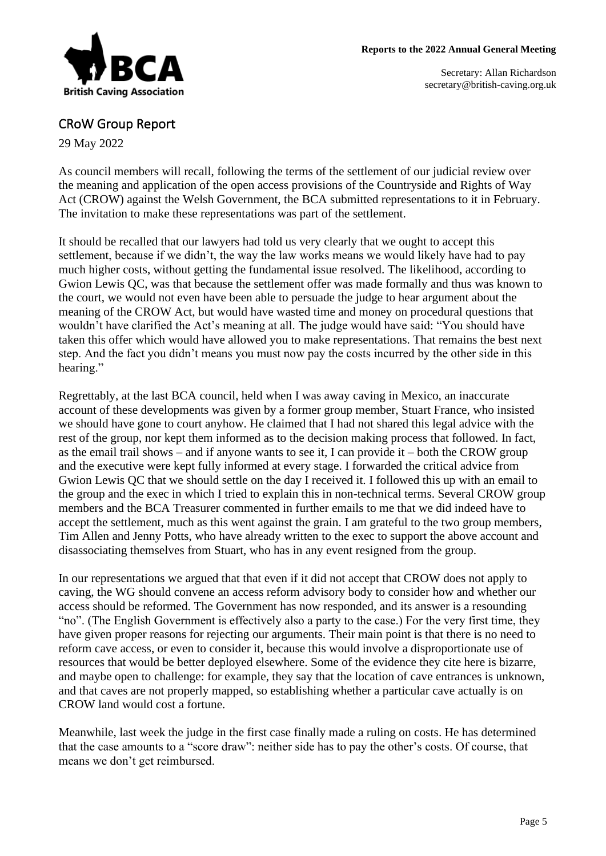

### CRoW Group Report

29 May 2022

As council members will recall, following the terms of the settlement of our judicial review over the meaning and application of the open access provisions of the Countryside and Rights of Way Act (CROW) against the Welsh Government, the BCA submitted representations to it in February. The invitation to make these representations was part of the settlement.

It should be recalled that our lawyers had told us very clearly that we ought to accept this settlement, because if we didn't, the way the law works means we would likely have had to pay much higher costs, without getting the fundamental issue resolved. The likelihood, according to Gwion Lewis QC, was that because the settlement offer was made formally and thus was known to the court, we would not even have been able to persuade the judge to hear argument about the meaning of the CROW Act, but would have wasted time and money on procedural questions that wouldn't have clarified the Act's meaning at all. The judge would have said: "You should have taken this offer which would have allowed you to make representations. That remains the best next step. And the fact you didn't means you must now pay the costs incurred by the other side in this hearing."

Regrettably, at the last BCA council, held when I was away caving in Mexico, an inaccurate account of these developments was given by a former group member, Stuart France, who insisted we should have gone to court anyhow. He claimed that I had not shared this legal advice with the rest of the group, nor kept them informed as to the decision making process that followed. In fact, as the email trail shows – and if anyone wants to see it, I can provide it – both the CROW group and the executive were kept fully informed at every stage. I forwarded the critical advice from Gwion Lewis QC that we should settle on the day I received it. I followed this up with an email to the group and the exec in which I tried to explain this in non-technical terms. Several CROW group members and the BCA Treasurer commented in further emails to me that we did indeed have to accept the settlement, much as this went against the grain. I am grateful to the two group members, Tim Allen and Jenny Potts, who have already written to the exec to support the above account and disassociating themselves from Stuart, who has in any event resigned from the group.

In our representations we argued that that even if it did not accept that CROW does not apply to caving, the WG should convene an access reform advisory body to consider how and whether our access should be reformed. The Government has now responded, and its answer is a resounding "no". (The English Government is effectively also a party to the case.) For the very first time, they have given proper reasons for rejecting our arguments. Their main point is that there is no need to reform cave access, or even to consider it, because this would involve a disproportionate use of resources that would be better deployed elsewhere. Some of the evidence they cite here is bizarre, and maybe open to challenge: for example, they say that the location of cave entrances is unknown, and that caves are not properly mapped, so establishing whether a particular cave actually is on CROW land would cost a fortune.

Meanwhile, last week the judge in the first case finally made a ruling on costs. He has determined that the case amounts to a "score draw": neither side has to pay the other's costs. Of course, that means we don't get reimbursed.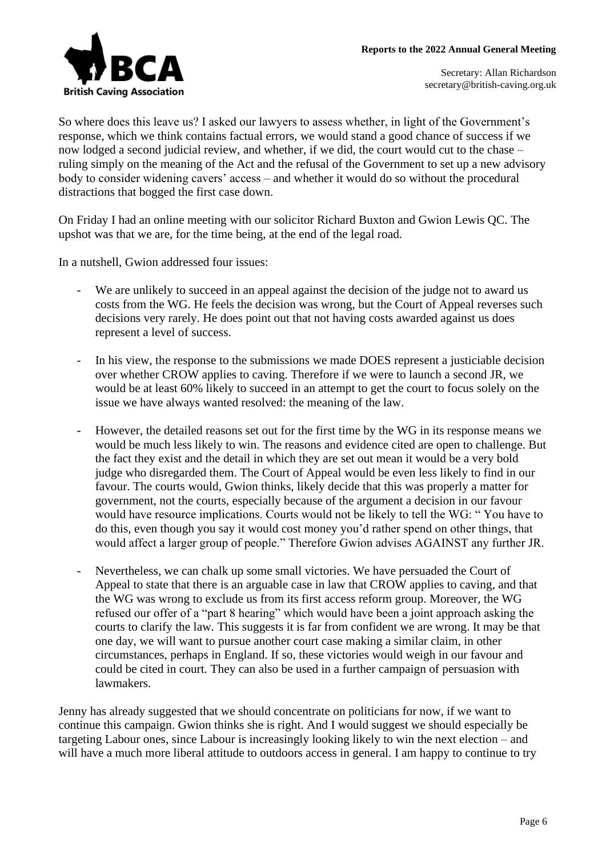

So where does this leave us? I asked our lawyers to assess whether, in light of the Government's response, which we think contains factual errors, we would stand a good chance of success if we now lodged a second judicial review, and whether, if we did, the court would cut to the chase – ruling simply on the meaning of the Act and the refusal of the Government to set up a new advisory body to consider widening cavers' access – and whether it would do so without the procedural distractions that bogged the first case down.

On Friday I had an online meeting with our solicitor Richard Buxton and Gwion Lewis QC. The upshot was that we are, for the time being, at the end of the legal road.

In a nutshell, Gwion addressed four issues:

- We are unlikely to succeed in an appeal against the decision of the judge not to award us costs from the WG. He feels the decision was wrong, but the Court of Appeal reverses such decisions very rarely. He does point out that not having costs awarded against us does represent a level of success.
- In his view, the response to the submissions we made DOES represent a justiciable decision over whether CROW applies to caving. Therefore if we were to launch a second JR, we would be at least 60% likely to succeed in an attempt to get the court to focus solely on the issue we have always wanted resolved: the meaning of the law.
- However, the detailed reasons set out for the first time by the WG in its response means we would be much less likely to win. The reasons and evidence cited are open to challenge. But the fact they exist and the detail in which they are set out mean it would be a very bold judge who disregarded them. The Court of Appeal would be even less likely to find in our favour. The courts would, Gwion thinks, likely decide that this was properly a matter for government, not the courts, especially because of the argument a decision in our favour would have resource implications. Courts would not be likely to tell the WG: " You have to do this, even though you say it would cost money you'd rather spend on other things, that would affect a larger group of people." Therefore Gwion advises AGAINST any further JR.
- Nevertheless, we can chalk up some small victories. We have persuaded the Court of Appeal to state that there is an arguable case in law that CROW applies to caving, and that the WG was wrong to exclude us from its first access reform group. Moreover, the WG refused our offer of a "part 8 hearing" which would have been a joint approach asking the courts to clarify the law. This suggests it is far from confident we are wrong. It may be that one day, we will want to pursue another court case making a similar claim, in other circumstances, perhaps in England. If so, these victories would weigh in our favour and could be cited in court. They can also be used in a further campaign of persuasion with lawmakers.

Jenny has already suggested that we should concentrate on politicians for now, if we want to continue this campaign. Gwion thinks she is right. And I would suggest we should especially be targeting Labour ones, since Labour is increasingly looking likely to win the next election – and will have a much more liberal attitude to outdoors access in general. I am happy to continue to try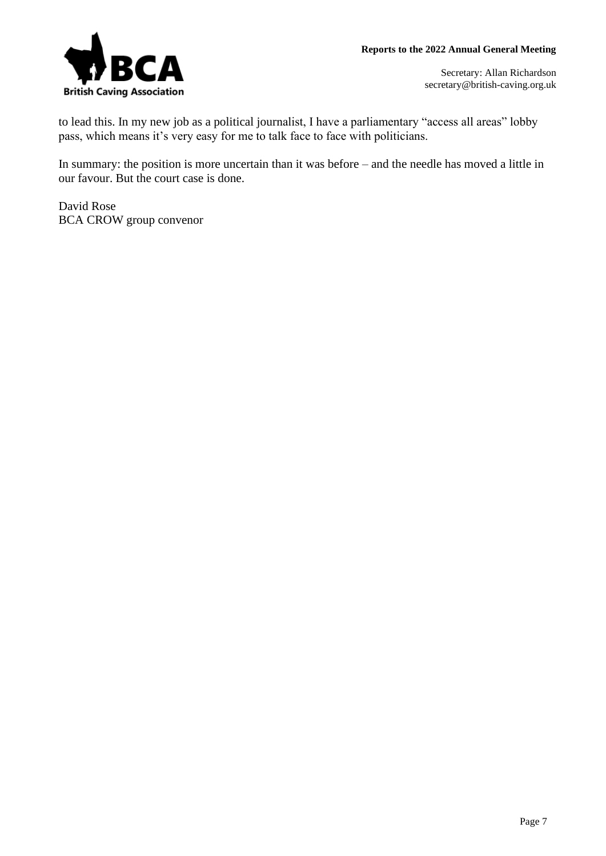

to lead this. In my new job as a political journalist, I have a parliamentary "access all areas" lobby pass, which means it's very easy for me to talk face to face with politicians.

In summary: the position is more uncertain than it was before – and the needle has moved a little in our favour. But the court case is done.

David Rose BCA CROW group convenor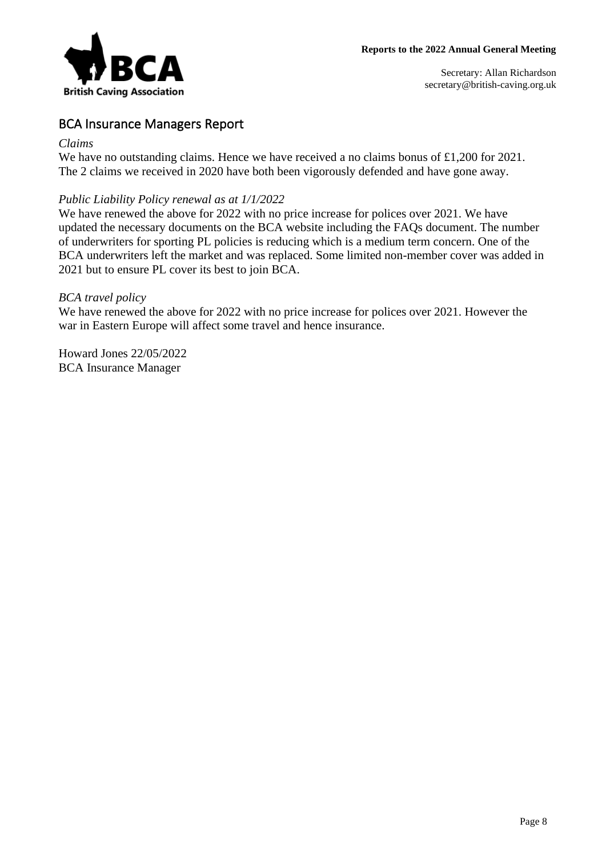

## BCA Insurance Managers Report

#### *Claims*

We have no outstanding claims. Hence we have received a no claims bonus of £1,200 for 2021. The 2 claims we received in 2020 have both been vigorously defended and have gone away.

### *Public Liability Policy renewal as at 1/1/2022*

We have renewed the above for 2022 with no price increase for polices over 2021. We have updated the necessary documents on the BCA website including the FAQs document. The number of underwriters for sporting PL policies is reducing which is a medium term concern. One of the BCA underwriters left the market and was replaced. Some limited non-member cover was added in 2021 but to ensure PL cover its best to join BCA.

### *BCA travel policy*

We have renewed the above for 2022 with no price increase for polices over 2021. However the war in Eastern Europe will affect some travel and hence insurance.

Howard Jones 22/05/2022 BCA Insurance Manager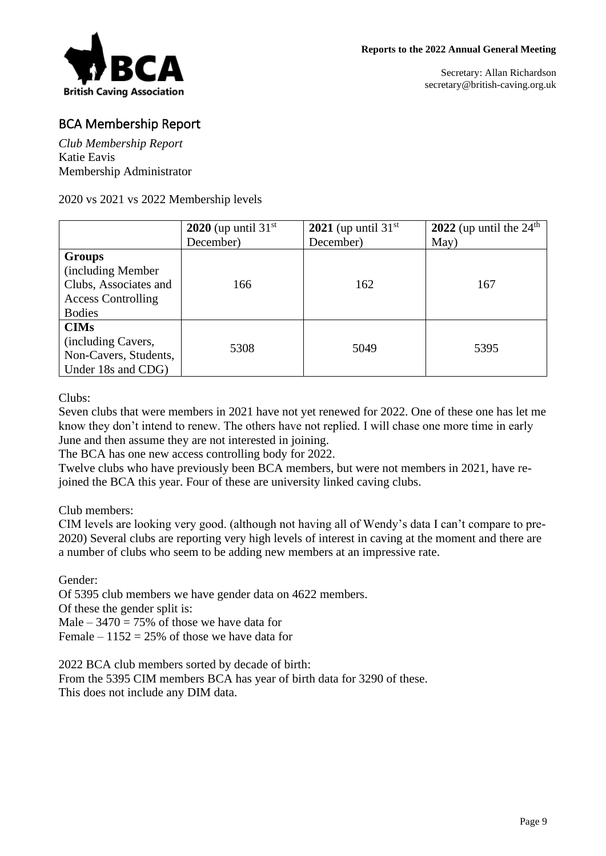

## BCA Membership Report

*Club Membership Report* Katie Eavis Membership Administrator

2020 vs 2021 vs 2022 Membership levels

|                           | 2020 (up until $31st$ | 2021 (up until $31st$ | 2022 (up until the $24th$ |
|---------------------------|-----------------------|-----------------------|---------------------------|
|                           | December)             | December)             | May)                      |
| <b>Groups</b>             |                       |                       |                           |
| (including Member)        |                       |                       |                           |
| Clubs, Associates and     | 166                   | 162                   | 167                       |
| <b>Access Controlling</b> |                       |                       |                           |
| <b>Bodies</b>             |                       |                       |                           |
| <b>CIMs</b>               |                       |                       |                           |
| (including Cavers,        |                       |                       |                           |
| Non-Cavers, Students,     | 5308                  | 5049                  | 5395                      |
| Under 18s and CDG)        |                       |                       |                           |

Clubs:

Seven clubs that were members in 2021 have not yet renewed for 2022. One of these one has let me know they don't intend to renew. The others have not replied. I will chase one more time in early June and then assume they are not interested in joining.

The BCA has one new access controlling body for 2022.

Twelve clubs who have previously been BCA members, but were not members in 2021, have rejoined the BCA this year. Four of these are university linked caving clubs.

Club members:

CIM levels are looking very good. (although not having all of Wendy's data I can't compare to pre-2020) Several clubs are reporting very high levels of interest in caving at the moment and there are a number of clubs who seem to be adding new members at an impressive rate.

Gender:

Of 5395 club members we have gender data on 4622 members.

Of these the gender split is:

Male –  $3470 = 75\%$  of those we have data for

Female –  $1152 = 25\%$  of those we have data for

2022 BCA club members sorted by decade of birth: From the 5395 CIM members BCA has year of birth data for 3290 of these. This does not include any DIM data.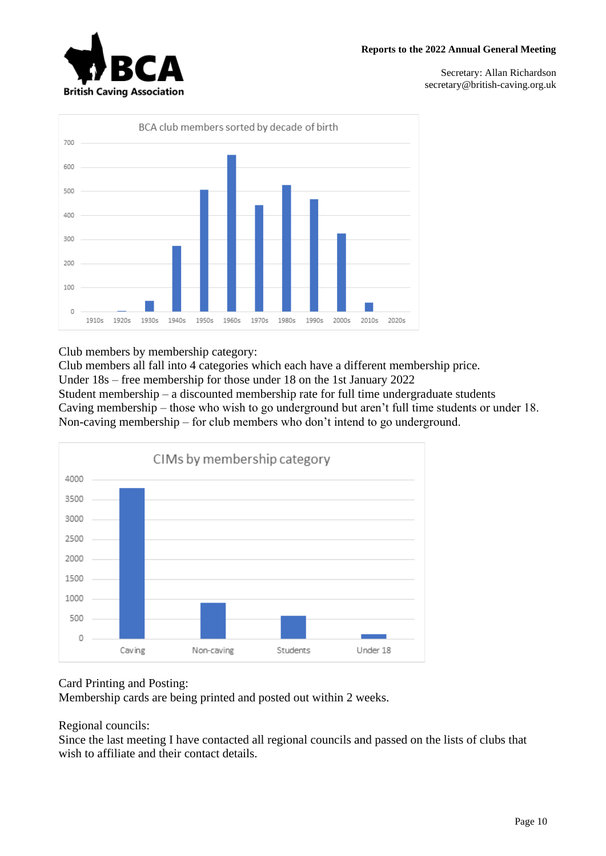



Club members by membership category:

Club members all fall into 4 categories which each have a different membership price.

Under 18s – free membership for those under 18 on the 1st January 2022

Student membership – a discounted membership rate for full time undergraduate students Caving membership – those who wish to go underground but aren't full time students or under 18. Non-caving membership – for club members who don't intend to go underground.



### Card Printing and Posting:

Membership cards are being printed and posted out within 2 weeks.

Regional councils:

Since the last meeting I have contacted all regional councils and passed on the lists of clubs that wish to affiliate and their contact details.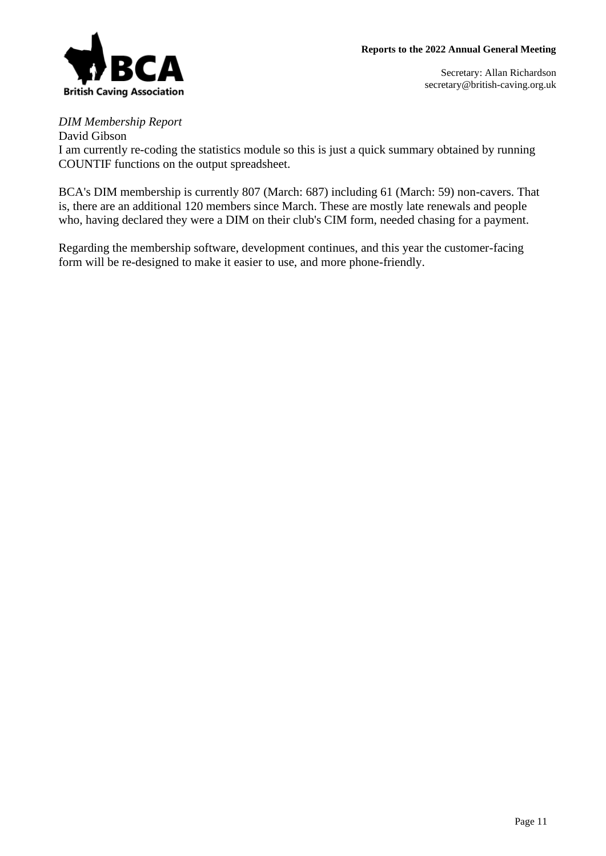

### *DIM Membership Report*

David Gibson I am currently re-coding the statistics module so this is just a quick summary obtained by running COUNTIF functions on the output spreadsheet.

BCA's DIM membership is currently 807 (March: 687) including 61 (March: 59) non-cavers. That is, there are an additional 120 members since March. These are mostly late renewals and people who, having declared they were a DIM on their club's CIM form, needed chasing for a payment.

Regarding the membership software, development continues, and this year the customer-facing form will be re-designed to make it easier to use, and more phone-friendly.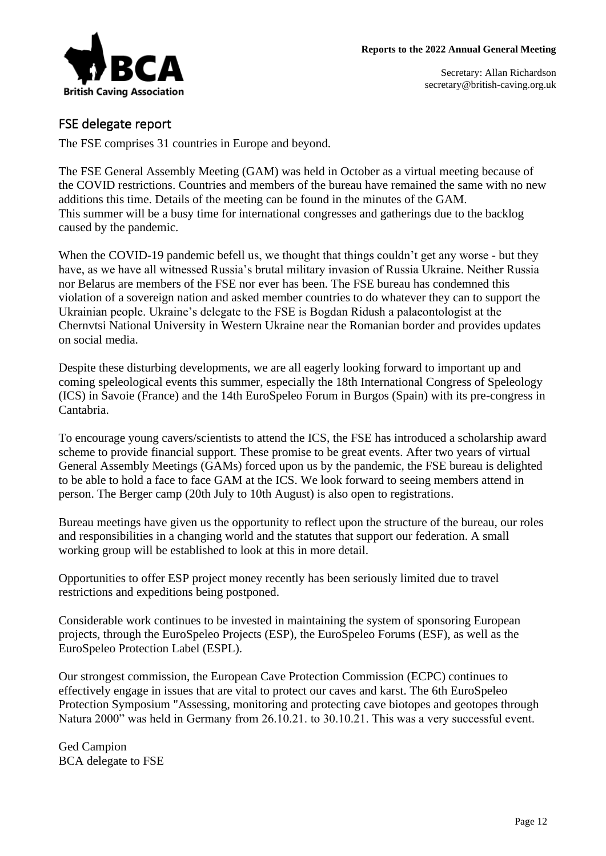

## FSE delegate report

The FSE comprises 31 countries in Europe and beyond.

The FSE General Assembly Meeting (GAM) was held in October as a virtual meeting because of the COVID restrictions. Countries and members of the bureau have remained the same with no new additions this time. Details of the meeting can be found in the minutes of the GAM. This summer will be a busy time for international congresses and gatherings due to the backlog caused by the pandemic.

When the COVID-19 pandemic befell us, we thought that things couldn't get any worse - but they have, as we have all witnessed Russia's brutal military invasion of Russia Ukraine. Neither Russia nor Belarus are members of the FSE nor ever has been. The FSE bureau has condemned this violation of a sovereign nation and asked member countries to do whatever they can to support the Ukrainian people. Ukraine's delegate to the FSE is Bogdan Ridush a palaeontologist at the Chernvtsi National University in Western Ukraine near the Romanian border and provides updates on social media.

Despite these disturbing developments, we are all eagerly looking forward to important up and coming speleological events this summer, especially the 18th International Congress of Speleology (ICS) in Savoie (France) and the 14th EuroSpeleo Forum in Burgos (Spain) with its pre-congress in Cantabria.

To encourage young cavers/scientists to attend the ICS, the FSE has introduced a scholarship award scheme to provide financial support. These promise to be great events. After two years of virtual General Assembly Meetings (GAMs) forced upon us by the pandemic, the FSE bureau is delighted to be able to hold a face to face GAM at the ICS. We look forward to seeing members attend in person. The Berger camp (20th July to 10th August) is also open to registrations.

Bureau meetings have given us the opportunity to reflect upon the structure of the bureau, our roles and responsibilities in a changing world and the statutes that support our federation. A small working group will be established to look at this in more detail.

Opportunities to offer ESP project money recently has been seriously limited due to travel restrictions and expeditions being postponed.

Considerable work continues to be invested in maintaining the system of sponsoring European projects, through the EuroSpeleo Projects (ESP), the EuroSpeleo Forums (ESF), as well as the EuroSpeleo Protection Label (ESPL).

Our strongest commission, the European Cave Protection Commission (ECPC) continues to effectively engage in issues that are vital to protect our caves and karst. The 6th EuroSpeleo Protection Symposium "Assessing, monitoring and protecting cave biotopes and geotopes through Natura 2000" was held in Germany from 26.10.21. to 30.10.21. This was a very successful event.

Ged Campion BCA delegate to FSE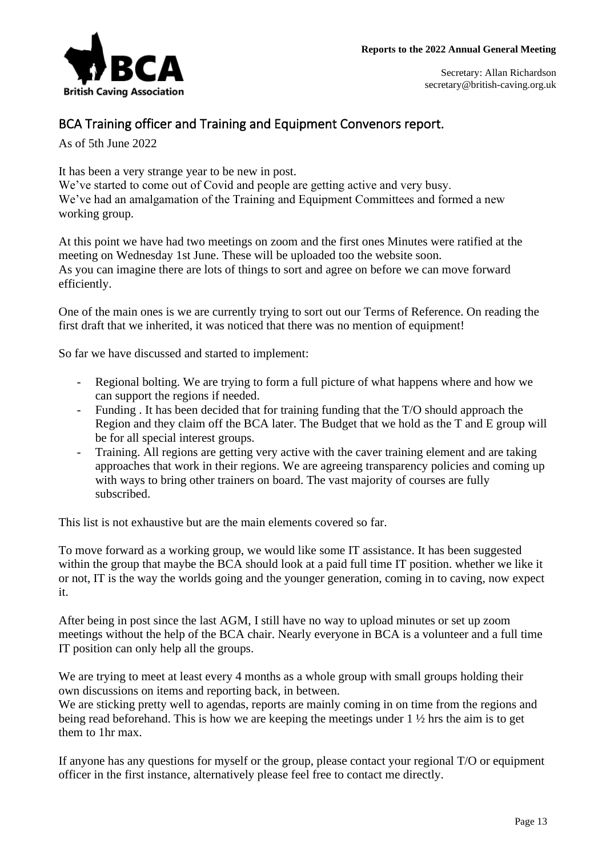

## BCA Training officer and Training and Equipment Convenors report.

As of 5th June 2022

It has been a very strange year to be new in post.

We've started to come out of Covid and people are getting active and very busy. We've had an amalgamation of the Training and Equipment Committees and formed a new working group.

At this point we have had two meetings on zoom and the first ones Minutes were ratified at the meeting on Wednesday 1st June. These will be uploaded too the website soon. As you can imagine there are lots of things to sort and agree on before we can move forward efficiently.

One of the main ones is we are currently trying to sort out our Terms of Reference. On reading the first draft that we inherited, it was noticed that there was no mention of equipment!

So far we have discussed and started to implement:

- Regional bolting. We are trying to form a full picture of what happens where and how we can support the regions if needed.
- Funding . It has been decided that for training funding that the T/O should approach the Region and they claim off the BCA later. The Budget that we hold as the T and E group will be for all special interest groups.
- Training. All regions are getting very active with the caver training element and are taking approaches that work in their regions. We are agreeing transparency policies and coming up with ways to bring other trainers on board. The vast majority of courses are fully subscribed.

This list is not exhaustive but are the main elements covered so far.

To move forward as a working group, we would like some IT assistance. It has been suggested within the group that maybe the BCA should look at a paid full time IT position. whether we like it or not, IT is the way the worlds going and the younger generation, coming in to caving, now expect it.

After being in post since the last AGM, I still have no way to upload minutes or set up zoom meetings without the help of the BCA chair. Nearly everyone in BCA is a volunteer and a full time IT position can only help all the groups.

We are trying to meet at least every 4 months as a whole group with small groups holding their own discussions on items and reporting back, in between.

We are sticking pretty well to agendas, reports are mainly coming in on time from the regions and being read beforehand. This is how we are keeping the meetings under 1 ½ hrs the aim is to get them to 1hr max.

If anyone has any questions for myself or the group, please contact your regional T/O or equipment officer in the first instance, alternatively please feel free to contact me directly.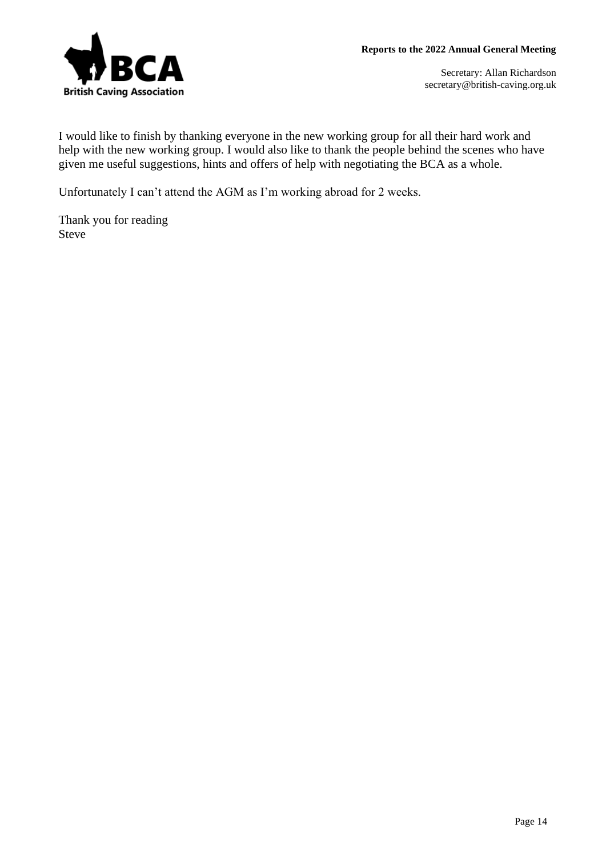

I would like to finish by thanking everyone in the new working group for all their hard work and help with the new working group. I would also like to thank the people behind the scenes who have given me useful suggestions, hints and offers of help with negotiating the BCA as a whole.

Unfortunately I can't attend the AGM as I'm working abroad for 2 weeks.

Thank you for reading Steve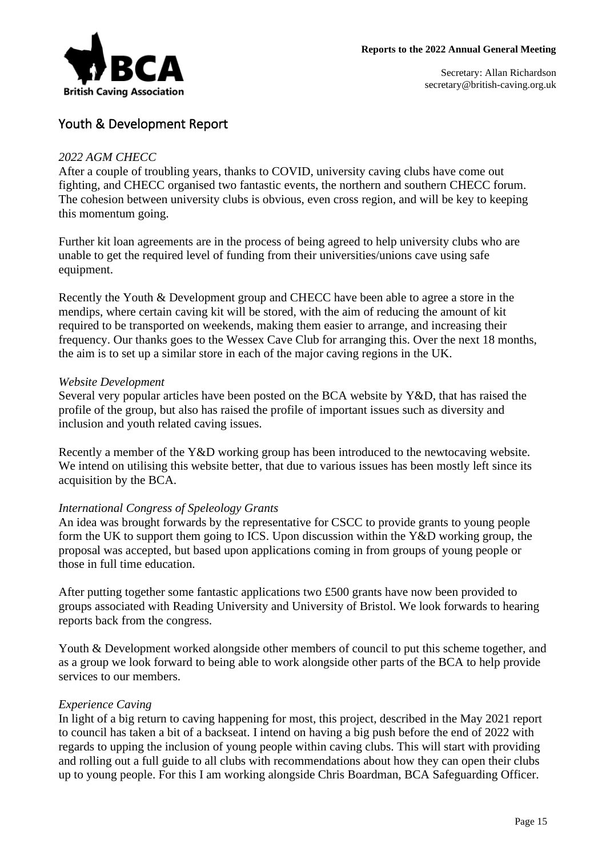

### Youth & Development Report

#### *2022 AGM CHECC*

After a couple of troubling years, thanks to COVID, university caving clubs have come out fighting, and CHECC organised two fantastic events, the northern and southern CHECC forum. The cohesion between university clubs is obvious, even cross region, and will be key to keeping this momentum going.

Further kit loan agreements are in the process of being agreed to help university clubs who are unable to get the required level of funding from their universities/unions cave using safe equipment.

Recently the Youth & Development group and CHECC have been able to agree a store in the mendips, where certain caving kit will be stored, with the aim of reducing the amount of kit required to be transported on weekends, making them easier to arrange, and increasing their frequency. Our thanks goes to the Wessex Cave Club for arranging this. Over the next 18 months, the aim is to set up a similar store in each of the major caving regions in the UK.

#### *Website Development*

Several very popular articles have been posted on the BCA website by Y&D, that has raised the profile of the group, but also has raised the profile of important issues such as diversity and inclusion and youth related caving issues.

Recently a member of the Y&D working group has been introduced to the newtocaving website. We intend on utilising this website better, that due to various issues has been mostly left since its acquisition by the BCA.

#### *International Congress of Speleology Grants*

An idea was brought forwards by the representative for CSCC to provide grants to young people form the UK to support them going to ICS. Upon discussion within the Y&D working group, the proposal was accepted, but based upon applications coming in from groups of young people or those in full time education.

After putting together some fantastic applications two £500 grants have now been provided to groups associated with Reading University and University of Bristol. We look forwards to hearing reports back from the congress.

Youth & Development worked alongside other members of council to put this scheme together, and as a group we look forward to being able to work alongside other parts of the BCA to help provide services to our members.

#### *Experience Caving*

In light of a big return to caving happening for most, this project, described in the May 2021 report to council has taken a bit of a backseat. I intend on having a big push before the end of 2022 with regards to upping the inclusion of young people within caving clubs. This will start with providing and rolling out a full guide to all clubs with recommendations about how they can open their clubs up to young people. For this I am working alongside Chris Boardman, BCA Safeguarding Officer.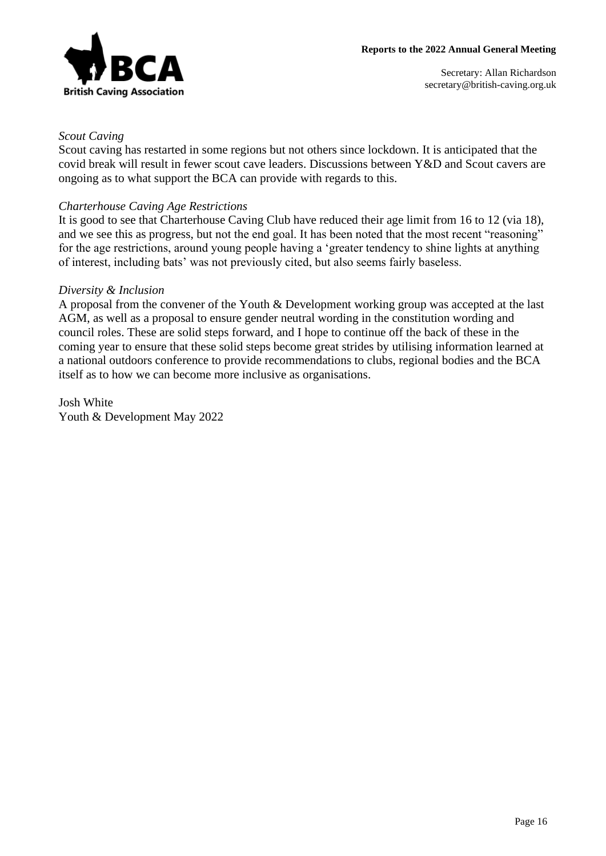

#### *Scout Caving*

Scout caving has restarted in some regions but not others since lockdown. It is anticipated that the covid break will result in fewer scout cave leaders. Discussions between Y&D and Scout cavers are ongoing as to what support the BCA can provide with regards to this.

#### *Charterhouse Caving Age Restrictions*

It is good to see that Charterhouse Caving Club have reduced their age limit from 16 to 12 (via 18), and we see this as progress, but not the end goal. It has been noted that the most recent "reasoning" for the age restrictions, around young people having a 'greater tendency to shine lights at anything of interest, including bats' was not previously cited, but also seems fairly baseless.

#### *Diversity & Inclusion*

A proposal from the convener of the Youth & Development working group was accepted at the last AGM, as well as a proposal to ensure gender neutral wording in the constitution wording and council roles. These are solid steps forward, and I hope to continue off the back of these in the coming year to ensure that these solid steps become great strides by utilising information learned at a national outdoors conference to provide recommendations to clubs, regional bodies and the BCA itself as to how we can become more inclusive as organisations.

Josh White Youth & Development May 2022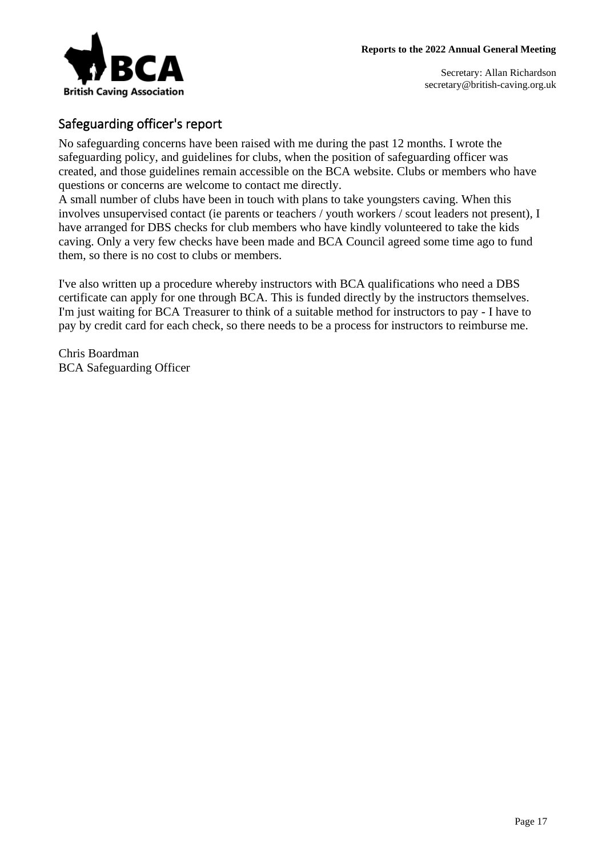

## Safeguarding officer's report

No safeguarding concerns have been raised with me during the past 12 months. I wrote the safeguarding policy, and guidelines for clubs, when the position of safeguarding officer was created, and those guidelines remain accessible on the BCA website. Clubs or members who have questions or concerns are welcome to contact me directly.

A small number of clubs have been in touch with plans to take youngsters caving. When this involves unsupervised contact (ie parents or teachers / youth workers / scout leaders not present), I have arranged for DBS checks for club members who have kindly volunteered to take the kids caving. Only a very few checks have been made and BCA Council agreed some time ago to fund them, so there is no cost to clubs or members.

I've also written up a procedure whereby instructors with BCA qualifications who need a DBS certificate can apply for one through BCA. This is funded directly by the instructors themselves. I'm just waiting for BCA Treasurer to think of a suitable method for instructors to pay - I have to pay by credit card for each check, so there needs to be a process for instructors to reimburse me.

Chris Boardman BCA Safeguarding Officer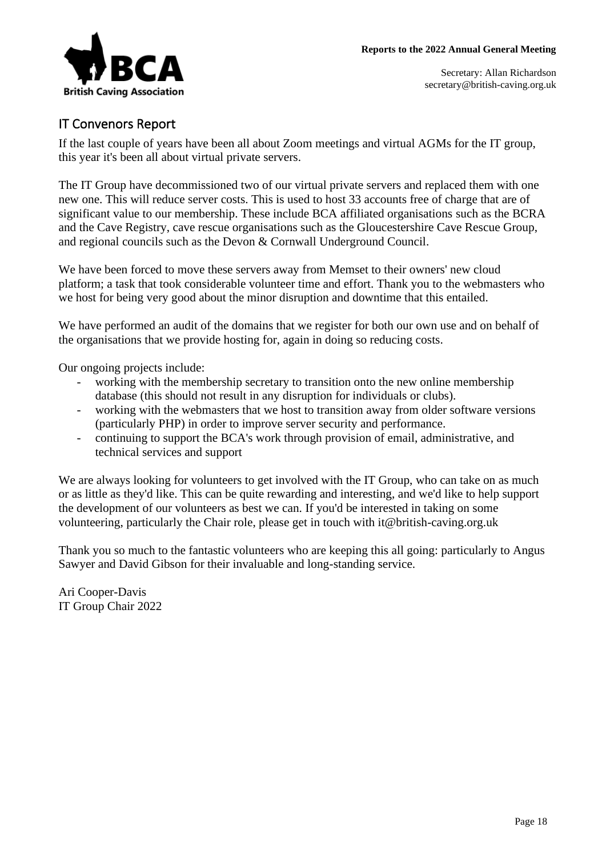

## IT Convenors Report

If the last couple of years have been all about Zoom meetings and virtual AGMs for the IT group, this year it's been all about virtual private servers.

The IT Group have decommissioned two of our virtual private servers and replaced them with one new one. This will reduce server costs. This is used to host 33 accounts free of charge that are of significant value to our membership. These include BCA affiliated organisations such as the BCRA and the Cave Registry, cave rescue organisations such as the Gloucestershire Cave Rescue Group, and regional councils such as the Devon & Cornwall Underground Council.

We have been forced to move these servers away from Memset to their owners' new cloud platform; a task that took considerable volunteer time and effort. Thank you to the webmasters who we host for being very good about the minor disruption and downtime that this entailed.

We have performed an audit of the domains that we register for both our own use and on behalf of the organisations that we provide hosting for, again in doing so reducing costs.

Our ongoing projects include:

- working with the membership secretary to transition onto the new online membership database (this should not result in any disruption for individuals or clubs).
- working with the webmasters that we host to transition away from older software versions (particularly PHP) in order to improve server security and performance.
- continuing to support the BCA's work through provision of email, administrative, and technical services and support

We are always looking for volunteers to get involved with the IT Group, who can take on as much or as little as they'd like. This can be quite rewarding and interesting, and we'd like to help support the development of our volunteers as best we can. If you'd be interested in taking on some volunteering, particularly the Chair role, please get in touch with it@british-caving.org.uk

Thank you so much to the fantastic volunteers who are keeping this all going: particularly to Angus Sawyer and David Gibson for their invaluable and long-standing service.

Ari Cooper-Davis IT Group Chair 2022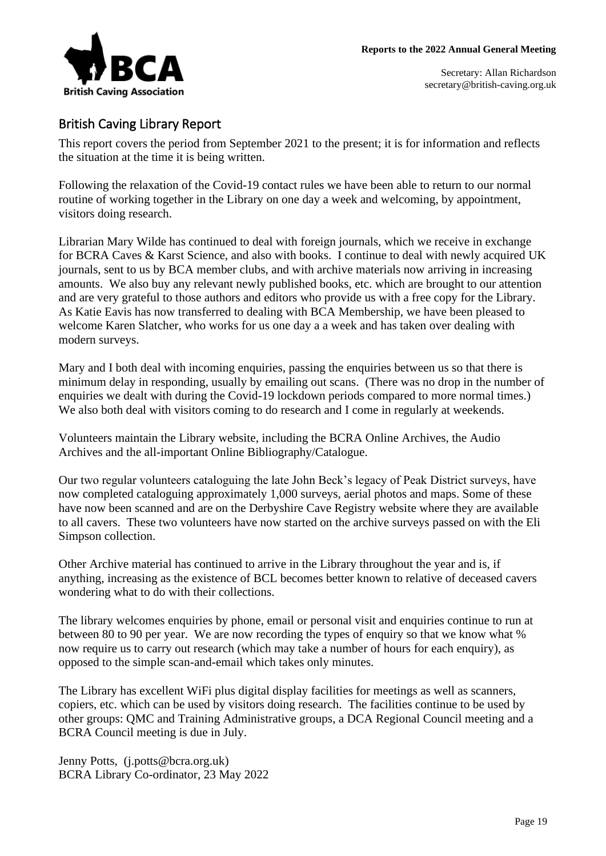### British Caving Library Report

This report covers the period from September 2021 to the present; it is for information and reflects the situation at the time it is being written.

Following the relaxation of the Covid-19 contact rules we have been able to return to our normal routine of working together in the Library on one day a week and welcoming, by appointment, visitors doing research.

Librarian Mary Wilde has continued to deal with foreign journals, which we receive in exchange for BCRA Caves & Karst Science, and also with books. I continue to deal with newly acquired UK journals, sent to us by BCA member clubs, and with archive materials now arriving in increasing amounts. We also buy any relevant newly published books, etc. which are brought to our attention and are very grateful to those authors and editors who provide us with a free copy for the Library. As Katie Eavis has now transferred to dealing with BCA Membership, we have been pleased to welcome Karen Slatcher, who works for us one day a a week and has taken over dealing with modern surveys.

Mary and I both deal with incoming enquiries, passing the enquiries between us so that there is minimum delay in responding, usually by emailing out scans. (There was no drop in the number of enquiries we dealt with during the Covid-19 lockdown periods compared to more normal times.) We also both deal with visitors coming to do research and I come in regularly at weekends.

Volunteers maintain the Library website, including the BCRA Online Archives, the Audio Archives and the all-important Online Bibliography/Catalogue.

Our two regular volunteers cataloguing the late John Beck's legacy of Peak District surveys, have now completed cataloguing approximately 1,000 surveys, aerial photos and maps. Some of these have now been scanned and are on the Derbyshire Cave Registry website where they are available to all cavers. These two volunteers have now started on the archive surveys passed on with the Eli Simpson collection.

Other Archive material has continued to arrive in the Library throughout the year and is, if anything, increasing as the existence of BCL becomes better known to relative of deceased cavers wondering what to do with their collections.

The library welcomes enquiries by phone, email or personal visit and enquiries continue to run at between 80 to 90 per year. We are now recording the types of enquiry so that we know what % now require us to carry out research (which may take a number of hours for each enquiry), as opposed to the simple scan-and-email which takes only minutes.

The Library has excellent WiFi plus digital display facilities for meetings as well as scanners, copiers, etc. which can be used by visitors doing research. The facilities continue to be used by other groups: QMC and Training Administrative groups, a DCA Regional Council meeting and a BCRA Council meeting is due in July.

Jenny Potts, (j.potts@bcra.org.uk) BCRA Library Co-ordinator, 23 May 2022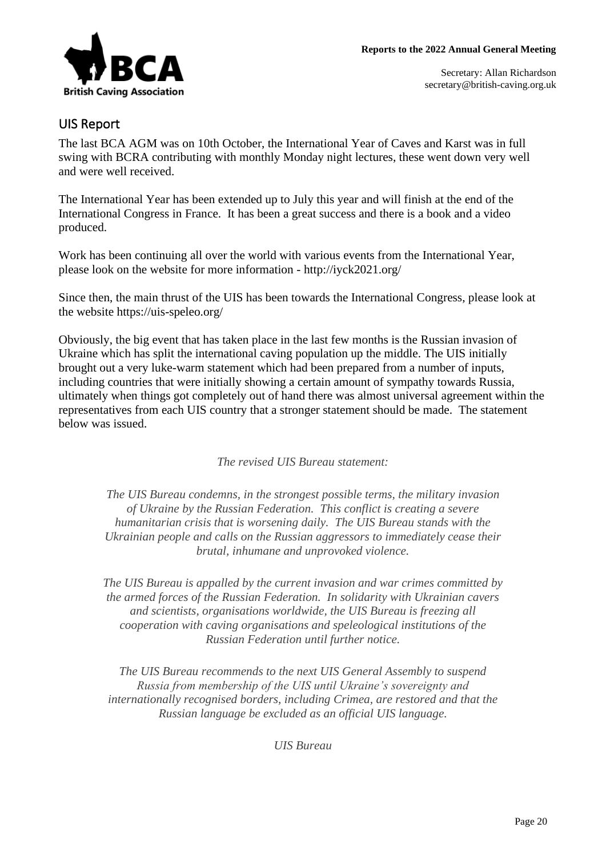

### UIS Report

The last BCA AGM was on 10th October, the International Year of Caves and Karst was in full swing with BCRA contributing with monthly Monday night lectures, these went down very well and were well received.

The International Year has been extended up to July this year and will finish at the end of the International Congress in France. It has been a great success and there is a book and a video produced.

Work has been continuing all over the world with various events from the International Year, please look on the website for more information - http://iyck2021.org/

Since then, the main thrust of the UIS has been towards the International Congress, please look at the website https://uis-speleo.org/

Obviously, the big event that has taken place in the last few months is the Russian invasion of Ukraine which has split the international caving population up the middle. The UIS initially brought out a very luke-warm statement which had been prepared from a number of inputs, including countries that were initially showing a certain amount of sympathy towards Russia, ultimately when things got completely out of hand there was almost universal agreement within the representatives from each UIS country that a stronger statement should be made. The statement below was issued.

*The revised UIS Bureau statement:*

*The UIS Bureau condemns, in the strongest possible terms, the military invasion of Ukraine by the Russian Federation. This conflict is creating a severe humanitarian crisis that is worsening daily. The UIS Bureau stands with the Ukrainian people and calls on the Russian aggressors to immediately cease their brutal, inhumane and unprovoked violence.*

*The UIS Bureau is appalled by the current invasion and war crimes committed by the armed forces of the Russian Federation. In solidarity with Ukrainian cavers and scientists, organisations worldwide, the UIS Bureau is freezing all cooperation with caving organisations and speleological institutions of the Russian Federation until further notice.*

*The UIS Bureau recommends to the next UIS General Assembly to suspend Russia from membership of the UIS until Ukraine's sovereignty and internationally recognised borders, including Crimea, are restored and that the Russian language be excluded as an official UIS language.*

*UIS Bureau*